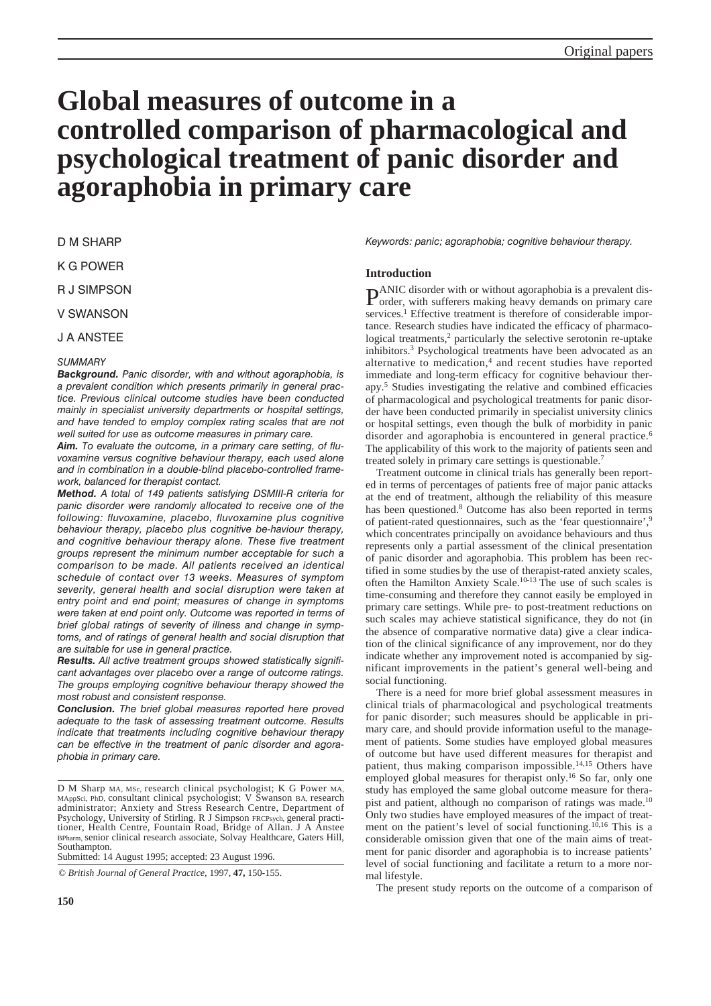# **Global measures of outcome in a controlled comparison of pharmacological and psychological treatment of panic disorder and agoraphobia in primary care**

D M SHARP

K G POWER

R J SIMPSON

V SWANSON

J A ANSTEE

# *SUMMARY*

*Background. Panic disorder, with and without agoraphobia, is a prevalent condition which presents primarily in general practice. Previous clinical outcome studies have been conducted mainly in specialist university departments or hospital settings, and have tended to employ complex rating scales that are not well suited for use as outcome measures in primary care.*

*Aim. To evaluate the outcome, in a primary care setting, of fluvoxamine versus cognitive behaviour therapy, each used alone and in combination in a double-blind placebo-controlled framework, balanced for therapist contact.*

*Method. A total of 149 patients satisfying DSMIII-R criteria for panic disorder were randomly allocated to receive one of the following: fluvoxamine, placebo, fluvoxamine plus cognitive behaviour therapy, placebo plus cognitive be-haviour therapy, and cognitive behaviour therapy alone. These five treatment groups represent the minimum number acceptable for such a comparison to be made. All patients received an identical schedule of contact over 13 weeks. Measures of symptom severity, general health and social disruption were taken at entry point and end point; measures of change in symptoms were taken at end point only. Outcome was reported in terms of brief global ratings of severity of illness and change in symptoms, and of ratings of general health and social disruption that are suitable for use in general practice.*

*Results. All active treatment groups showed statistically significant advantages over placebo over a range of outcome ratings. The groups employing cognitive behaviour therapy showed the most robust and consistent response.*

*Conclusion. The brief global measures reported here proved adequate to the task of assessing treatment outcome. Results indicate that treatments including cognitive behaviour therapy can be effective in the treatment of panic disorder and agoraphobia in primary care.*

Submitted: 14 August 1995; accepted: 23 August 1996.

© *British Journal of General Practice,* 1997, **47,** 150-155.

*Keywords: panic; agoraphobia; cognitive behaviour therapy.*

# **Introduction**

PANIC disorder with or without agoraphobia is a prevalent dis-order, with sufferers making heavy demands on primary care services.<sup>1</sup> Effective treatment is therefore of considerable importance. Research studies have indicated the efficacy of pharmacological treatments,<sup>2</sup> particularly the selective serotonin re-uptake inhibitors.3 Psychological treatments have been advocated as an alternative to medication,<sup>4</sup> and recent studies have reported immediate and long-term efficacy for cognitive behaviour therapy.5 Studies investigating the relative and combined efficacies of pharmacological and psychological treatments for panic disorder have been conducted primarily in specialist university clinics or hospital settings, even though the bulk of morbidity in panic disorder and agoraphobia is encountered in general practice.<sup>6</sup> The applicability of this work to the majority of patients seen and treated solely in primary care settings is questionable.7

Treatment outcome in clinical trials has generally been reported in terms of percentages of patients free of major panic attacks at the end of treatment, although the reliability of this measure has been questioned.<sup>8</sup> Outcome has also been reported in terms of patient-rated questionnaires, such as the 'fear questionnaire',9 which concentrates principally on avoidance behaviours and thus represents only a partial assessment of the clinical presentation of panic disorder and agoraphobia. This problem has been rectified in some studies by the use of therapist-rated anxiety scales, often the Hamilton Anxiety Scale.10-13 The use of such scales is time-consuming and therefore they cannot easily be employed in primary care settings. While pre- to post-treatment reductions on such scales may achieve statistical significance, they do not (in the absence of comparative normative data) give a clear indication of the clinical significance of any improvement, nor do they indicate whether any improvement noted is accompanied by significant improvements in the patient's general well-being and social functioning.

There is a need for more brief global assessment measures in clinical trials of pharmacological and psychological treatments for panic disorder; such measures should be applicable in primary care, and should provide information useful to the management of patients. Some studies have employed global measures of outcome but have used different measures for therapist and patient, thus making comparison impossible.<sup>14,15</sup> Others have employed global measures for therapist only.16 So far, only one study has employed the same global outcome measure for therapist and patient, although no comparison of ratings was made.10 Only two studies have employed measures of the impact of treatment on the patient's level of social functioning.<sup>10,16</sup> This is a considerable omission given that one of the main aims of treatment for panic disorder and agoraphobia is to increase patients' level of social functioning and facilitate a return to a more normal lifestyle.

The present study reports on the outcome of a comparison of

D M Sharp MA, MSc, research clinical psychologist; K G Power MA, MAppSci, PhD, consultant clinical psychologist; V Swanson BA, research administrator; Anxiety and Stress Research Centre, Department of Psychology, University of Stirling. R J Simpson FRCPsych, general practitioner, Health Centre, Fountain Road, Bridge of Allan. J A Anstee BPharm, senior clinical research associate, Solvay Healthcare, Gaters Hill, Southampton.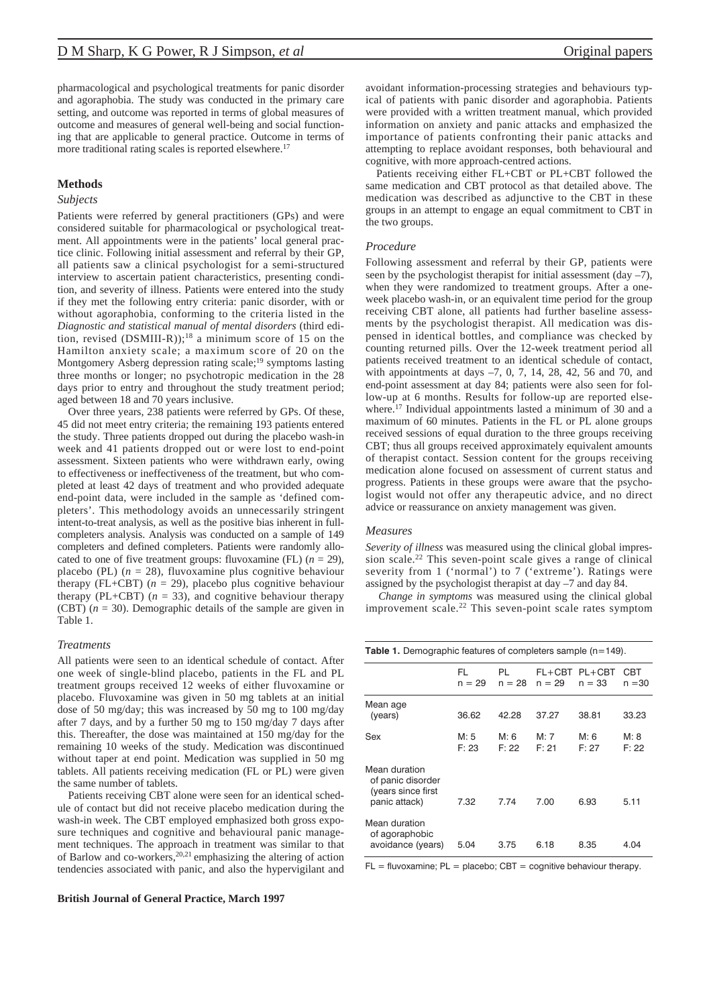pharmacological and psychological treatments for panic disorder and agoraphobia. The study was conducted in the primary care setting, and outcome was reported in terms of global measures of outcome and measures of general well-being and social functioning that are applicable to general practice. Outcome in terms of more traditional rating scales is reported elsewhere.<sup>17</sup>

# **Methods**

## *Subjects*

Patients were referred by general practitioners (GPs) and were considered suitable for pharmacological or psychological treatment. All appointments were in the patients' local general practice clinic. Following initial assessment and referral by their GP, all patients saw a clinical psychologist for a semi-structured interview to ascertain patient characteristics, presenting condition, and severity of illness. Patients were entered into the study if they met the following entry criteria: panic disorder, with or without agoraphobia, conforming to the criteria listed in the *Diagnostic and statistical manual of mental disorders* (third edition, revised  $(DSMIII-R)$ ;<sup>18</sup> a minimum score of 15 on the Hamilton anxiety scale; a maximum score of 20 on the Montgomery Asberg depression rating scale;<sup>19</sup> symptoms lasting three months or longer; no psychotropic medication in the 28 days prior to entry and throughout the study treatment period; aged between 18 and 70 years inclusive.

Over three years, 238 patients were referred by GPs. Of these, 45 did not meet entry criteria; the remaining 193 patients entered the study. Three patients dropped out during the placebo wash-in week and 41 patients dropped out or were lost to end-point assessment. Sixteen patients who were withdrawn early, owing to effectiveness or ineffectiveness of the treatment, but who completed at least 42 days of treatment and who provided adequate end-point data, were included in the sample as 'defined completers'. This methodology avoids an unnecessarily stringent intent-to-treat analysis, as well as the positive bias inherent in fullcompleters analysis. Analysis was conducted on a sample of 149 completers and defined completers. Patients were randomly allocated to one of five treatment groups: fluvoxamine (FL)  $(n = 29)$ , placebo (PL)  $(n = 28)$ , fluvoxamine plus cognitive behaviour therapy (FL+CBT)  $(n = 29)$ , placebo plus cognitive behaviour therapy (PL+CBT)  $(n = 33)$ , and cognitive behaviour therapy (CBT) (*n* = 30). Demographic details of the sample are given in Table 1.

## *Treatments*

All patients were seen to an identical schedule of contact. After one week of single-blind placebo, patients in the FL and PL treatment groups received 12 weeks of either fluvoxamine or placebo. Fluvoxamine was given in 50 mg tablets at an initial dose of 50 mg/day; this was increased by 50 mg to 100 mg/day after 7 days, and by a further 50 mg to 150 mg/day 7 days after this. Thereafter, the dose was maintained at 150 mg/day for the remaining 10 weeks of the study. Medication was discontinued without taper at end point. Medication was supplied in 50 mg tablets. All patients receiving medication (FL or PL) were given the same number of tablets.

Patients receiving CBT alone were seen for an identical schedule of contact but did not receive placebo medication during the wash-in week. The CBT employed emphasized both gross exposure techniques and cognitive and behavioural panic management techniques. The approach in treatment was similar to that of Barlow and co-workers,<sup>20,21</sup> emphasizing the altering of action tendencies associated with panic, and also the hypervigilant and

#### **British Journal of General Practice, March 1997**

avoidant information-processing strategies and behaviours typical of patients with panic disorder and agoraphobia. Patients were provided with a written treatment manual, which provided information on anxiety and panic attacks and emphasized the importance of patients confronting their panic attacks and attempting to replace avoidant responses, both behavioural and cognitive, with more approach-centred actions.

Patients receiving either FL+CBT or PL+CBT followed the same medication and CBT protocol as that detailed above. The medication was described as adjunctive to the CBT in these groups in an attempt to engage an equal commitment to CBT in the two groups.

## *Procedure*

Following assessment and referral by their GP, patients were seen by the psychologist therapist for initial assessment (day  $-7$ ), when they were randomized to treatment groups. After a oneweek placebo wash-in, or an equivalent time period for the group receiving CBT alone, all patients had further baseline assessments by the psychologist therapist. All medication was dispensed in identical bottles, and compliance was checked by counting returned pills. Over the 12-week treatment period all patients received treatment to an identical schedule of contact, with appointments at days  $-7$ , 0, 7, 14, 28, 42, 56 and 70, and end-point assessment at day 84; patients were also seen for follow-up at 6 months. Results for follow-up are reported elsewhere.<sup>17</sup> Individual appointments lasted a minimum of 30 and a maximum of 60 minutes. Patients in the FL or PL alone groups received sessions of equal duration to the three groups receiving CBT; thus all groups received approximately equivalent amounts of therapist contact. Session content for the groups receiving medication alone focused on assessment of current status and progress. Patients in these groups were aware that the psychologist would not offer any therapeutic advice, and no direct advice or reassurance on anxiety management was given.

#### *Measures*

*Severity of illness* was measured using the clinical global impression scale.22 This seven-point scale gives a range of clinical severity from 1 ('normal') to 7 ('extreme'). Ratings were assigned by the psychologist therapist at day –7 and day 84.

*Change in symptoms* was measured using the clinical global improvement scale.22 This seven-point scale rates symptom

| <b>Table 1.</b> Demographic features of completers sample $(n=149)$ .     |               |                |                      |                      |                 |  |  |
|---------------------------------------------------------------------------|---------------|----------------|----------------------|----------------------|-----------------|--|--|
|                                                                           | FL<br>n = 29  | PL<br>$n = 28$ | $FL+CBT$<br>$n = 29$ | $PL+CBT$<br>$n = 33$ | CBT<br>$n = 30$ |  |  |
| Mean age<br>(years)                                                       | 36.62         | 42.28          | 37.27                | 38.81                | 33.23           |  |  |
| Sex                                                                       | M: 5<br>F: 23 | M: 6<br>F: 22  | M: 7<br>F: 21        | M: 6<br>F: 27        | M: 8<br>F: 22   |  |  |
| Mean duration<br>of panic disorder<br>(years since first<br>panic attack) | 7.32          | 7.74           | 7.00                 | 6.93                 | 5.11            |  |  |
| Mean duration<br>of agoraphobic<br>avoidance (years)                      | 5.04          | 3.75           | 6.18                 | 8.35                 | 4.04            |  |  |

 $FL =$  fluvoxamine;  $PL =$  placebo;  $CBT =$  cognitive behaviour therapy.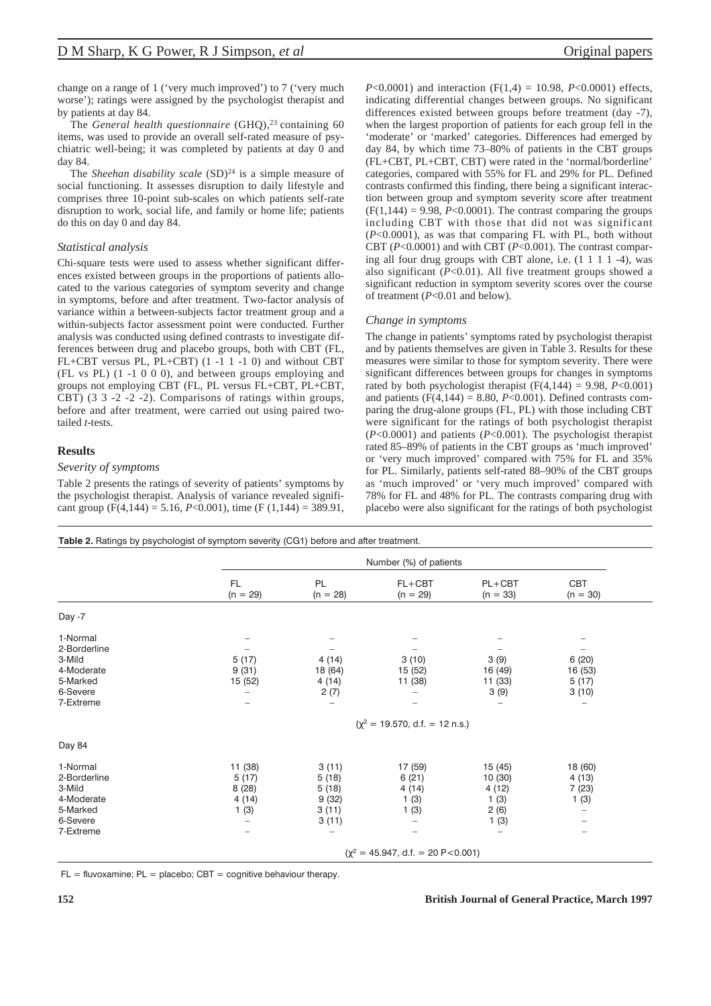change on a range of 1 ('very much improved') to 7 ('very much worse'); ratings were assigned by the psychologist therapist and by patients at day 84.

The *General health questionnaire* (GHQ),<sup>23</sup> containing 60 items, was used to provide an overall self-rated measure of psychiatric well-being; it was completed by patients at day 0 and day 84.

The *Sheehan disability scale* (SD)<sup>24</sup> is a simple measure of social functioning. It assesses disruption to daily lifestyle and comprises three 10-point sub-scales on which patients self-rate disruption to work, social life, and family or home life; patients do this on day 0 and day 84.

## *Statistical analysis*

Chi-square tests were used to assess whether significant differences existed between groups in the proportions of patients allocated to the various categories of symptom severity and change in symptoms, before and after treatment. Two-factor analysis of variance within a between-subjects factor treatment group and a within-subjects factor assessment point were conducted. Further analysis was conducted using defined contrasts to investigate differences between drug and placebo groups, both with CBT (FL, FL+CBT versus PL, PL+CBT) (1 -1 1 -1 0) and without CBT (FL vs PL) (1 -1 0 0 0), and between groups employing and groups not employing CBT (FL, PL versus FL+CBT, PL+CBT, CBT) (3 3 -2 -2 -2). Comparisons of ratings within groups, before and after treatment, were carried out using paired twotailed *t*-tests.

# **Results**

## *Severity of symptoms*

Table 2 presents the ratings of severity of patients' symptoms by the psychologist therapist. Analysis of variance revealed significant group (F(4,144) = 5.16, *P*<0.001), time (F (1,144) = 389.91, *P*<0.0001) and interaction ( $F(1,4) = 10.98$ , *P*<0.0001) effects, indicating differential changes between groups. No significant differences existed between groups before treatment (day -7), when the largest proportion of patients for each group fell in the 'moderate' or 'marked' categories. Differences had emerged by day 84, by which time 73–80% of patients in the CBT groups (FL+CBT, PL+CBT, CBT) were rated in the 'normal/borderline' categories, compared with 55% for FL and 29% for PL. Defined contrasts confirmed this finding, there being a significant interaction between group and symptom severity score after treatment  $(F(1,144) = 9.98, P<0.0001)$ . The contrast comparing the groups including CBT with those that did not was significant (*P*<0.0001), as was that comparing FL with PL, both without CBT (*P*<0.0001) and with CBT (*P*<0.001). The contrast comparing all four drug groups with CBT alone, i.e. (1 1 1 1 -4), was also significant  $(P<0.01)$ . All five treatment groups showed a significant reduction in symptom severity scores over the course of treatment (*P*<0.01 and below).

# *Change in symptoms*

The change in patients' symptoms rated by psychologist therapist and by patients themselves are given in Table 3. Results for these measures were similar to those for symptom severity. There were significant differences between groups for changes in symptoms rated by both psychologist therapist  $(F(4,144) = 9.98, P<0.001)$ and patients  $(F(4,144) = 8.80, P<0.001)$ . Defined contrasts comparing the drug-alone groups (FL, PL) with those including CBT were significant for the ratings of both psychologist therapist (*P*<0.0001) and patients (*P*<0.001). The psychologist therapist rated 85–89% of patients in the CBT groups as 'much improved' or 'very much improved' compared with 75% for FL and 35% for PL. Similarly, patients self-rated 88–90% of the CBT groups as 'much improved' or 'very much improved' compared with 78% for FL and 48% for PL. The contrasts comparing drug with placebo were also significant for the ratings of both psychologist

Table 2. Ratings by psychologist of symptom severity (CG1) before and after treatment.

|                                                                                       |                                            | Number (%) of patients                                         |                                                         |                                                                                |                                              |  |
|---------------------------------------------------------------------------------------|--------------------------------------------|----------------------------------------------------------------|---------------------------------------------------------|--------------------------------------------------------------------------------|----------------------------------------------|--|
|                                                                                       | FL.<br>$(n = 29)$                          | PL<br>$(n = 28)$                                               | $FL+CBT$<br>$(n = 29)$                                  | PL+CBT<br>$(n = 33)$                                                           | CBT<br>$(n = 30)$                            |  |
| Day -7                                                                                |                                            |                                                                |                                                         |                                                                                |                                              |  |
| 1-Normal<br>2-Borderline<br>3-Mild<br>4-Moderate<br>5-Marked<br>6-Severe<br>7-Extreme | 5(17)<br>9(31)<br>15 (52)                  | 4(14)<br>18 (64)<br>4 (14)<br>2(7)<br>$\overline{\phantom{0}}$ | 3(10)<br>15 (52)<br>11 (38)<br>$\overline{\phantom{0}}$ | 3(9)<br>16 (49)<br>11 (33)<br>3(9)                                             | 6(20)<br>16 (53)<br>5(17)<br>3(10)<br>-      |  |
|                                                                                       |                                            |                                                                | $(\chi^2 = 19.570, d.f. = 12 n.s.)$                     |                                                                                |                                              |  |
| Day 84                                                                                |                                            |                                                                |                                                         |                                                                                |                                              |  |
| 1-Normal<br>2-Borderline<br>3-Mild<br>4-Moderate<br>5-Marked<br>6-Severe<br>7-Extreme | 11 (38)<br>5(17)<br>8(28)<br>4(14)<br>1(3) | 3(11)<br>5(18)<br>5(18)<br>9(32)<br>3(11)<br>3(11)             | 17 (59)<br>6(21)<br>4 (14)<br>1(3)<br>1(3)<br>-         | 15 (45)<br>10(30)<br>4(12)<br>1(3)<br>2(6)<br>1(3)<br>$\overline{\phantom{m}}$ | 18 (60)<br>4 (13)<br>7(23)<br>1(3)<br>-<br>- |  |
|                                                                                       |                                            | $(\chi^2 = 45.947, d.f. = 20 P < 0.001)$                       |                                                         |                                                                                |                                              |  |

 $FL =$  fluvoxamine;  $PL =$  placebo;  $CBT =$  cognitive behaviour therapy.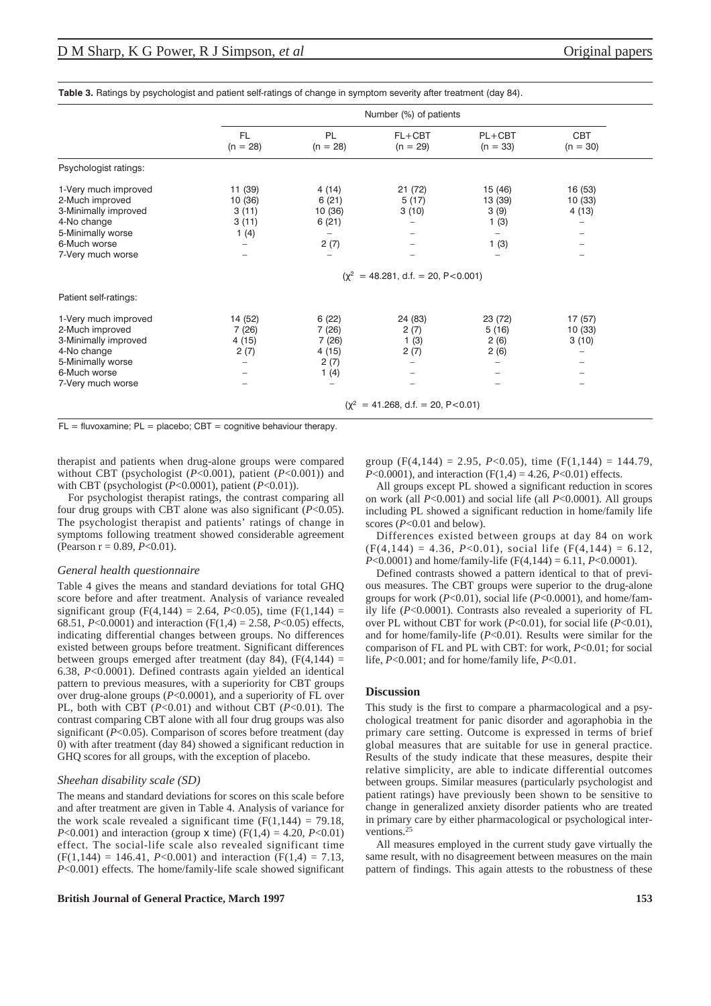|                                                                                                                                          |                                              | Number (%) of patients                                 |                                                             |                                                       |                             |  |  |
|------------------------------------------------------------------------------------------------------------------------------------------|----------------------------------------------|--------------------------------------------------------|-------------------------------------------------------------|-------------------------------------------------------|-----------------------------|--|--|
|                                                                                                                                          | <b>FL</b><br>$(n = 28)$                      | PL<br>$(n = 28)$                                       | $FL+CBT$<br>$(n = 29)$                                      | $PL+CBT$<br>$(n = 33)$                                | <b>CBT</b><br>$(n = 30)$    |  |  |
| Psychologist ratings:                                                                                                                    |                                              |                                                        |                                                             |                                                       |                             |  |  |
| 1-Very much improved<br>2-Much improved<br>3-Minimally improved<br>4-No change<br>5-Minimally worse<br>6-Much worse<br>7-Very much worse | 11 (39)<br>10 (36)<br>3(11)<br>3(11)<br>1(4) | 4 (14)<br>6(21)<br>10 (36)<br>6(21)<br>-<br>2(7)<br>-  | 21 (72)<br>5(17)<br>3(10)<br>-                              | 15 (46)<br>13 (39)<br>3(9)<br>1(3)<br>1(3)            | 16 (53)<br>10(33)<br>4 (13) |  |  |
|                                                                                                                                          |                                              | $(\chi^2 = 48.281, d.f. = 20, P < 0.001)$              |                                                             |                                                       |                             |  |  |
| Patient self-ratings:                                                                                                                    |                                              |                                                        |                                                             |                                                       |                             |  |  |
| 1-Very much improved<br>2-Much improved<br>3-Minimally improved<br>4-No change<br>5-Minimally worse<br>6-Much worse<br>7-Very much worse | 14 (52)<br>7(26)<br>4(15)<br>2(7)<br>-       | 6(22)<br>7(26)<br>7(26)<br>4 (15)<br>2(7)<br>1(4)<br>- | 24 (83)<br>2(7)<br>1(3)<br>2(7)<br>$\overline{\phantom{0}}$ | 23 (72)<br>5(16)<br>2(6)<br>2(6)<br>$\qquad \qquad -$ | 17 (57)<br>10 (33)<br>3(10) |  |  |
|                                                                                                                                          |                                              | $(y^2 = 41.268, d.f. = 20, P < 0.01)$                  |                                                             |                                                       |                             |  |  |

**Table 3.** Ratings by psychologist and patient self-ratings of change in symptom severity after treatment (day 84).

 $FL =$  fluvoxamine;  $PL =$  placebo;  $CBT =$  cognitive behaviour therapy.

therapist and patients when drug-alone groups were compared without CBT (psychologist (*P*<0.001), patient (*P*<0.001)) and with CBT (psychologist (*P*<0.0001), patient (*P*<0.01)).

For psychologist therapist ratings, the contrast comparing all four drug groups with CBT alone was also significant (*P*<0.05). The psychologist therapist and patients' ratings of change in symptoms following treatment showed considerable agreement (Pearson  $r = 0.89$ ,  $P < 0.01$ ).

## *General health questionnaire*

Table 4 gives the means and standard deviations for total GHQ score before and after treatment. Analysis of variance revealed significant group (F(4,144) = 2.64, *P*<0.05), time (F(1,144) = 68.51,  $P < 0.0001$ ) and interaction (F(1,4) = 2.58,  $P < 0.05$ ) effects, indicating differential changes between groups. No differences existed between groups before treatment. Significant differences between groups emerged after treatment (day 84),  $(F(4, 144) =$ 6.38, *P*<0.0001). Defined contrasts again yielded an identical pattern to previous measures, with a superiority for CBT groups over drug-alone groups (*P*<0.0001), and a superiority of FL over PL, both with CBT (*P*<0.01) and without CBT (*P*<0.01). The contrast comparing CBT alone with all four drug groups was also significant (*P*<0.05). Comparison of scores before treatment (day 0) with after treatment (day 84) showed a significant reduction in GHQ scores for all groups, with the exception of placebo.

## *Sheehan disability scale (SD)*

The means and standard deviations for scores on this scale before and after treatment are given in Table 4. Analysis of variance for the work scale revealed a significant time  $(F(1,144) = 79.18,$ *P*<0.001) and interaction (group  $x$  time) ( $F(1,4) = 4.20, P<0.01$ ) effect. The social-life scale also revealed significant time  $(F(1,144) = 146.41, P<0.001)$  and interaction  $(F(1,4) = 7.13,$ *P*<0.001) effects. The home/family-life scale showed significant

## **British Journal of General Practice, March 1997 153**

group (F(4,144) = 2.95, *P*<0.05), time (F(1,144) = 144.79, *P*<0.0001), and interaction  $(F(1,4) = 4.26, P<0.01)$  effects.

All groups except PL showed a significant reduction in scores on work (all *P*<0.001) and social life (all *P*<0.0001). All groups including PL showed a significant reduction in home/family life scores ( $P<0.01$  and below).

Differences existed between groups at day 84 on work  $(F(4,144) = 4.36, P<0.01)$ , social life  $(F(4,144) = 6.12,$ *P*<0.0001) and home/family-life (F(4,144) = 6.11, *P*<0.0001).

Defined contrasts showed a pattern identical to that of previous measures. The CBT groups were superior to the drug-alone groups for work (*P*<0.01), social life (*P*<0.0001), and home/family life (*P*<0.0001). Contrasts also revealed a superiority of FL over PL without CBT for work (*P*<0.01), for social life (*P*<0.01), and for home/family-life (*P*<0.01). Results were similar for the comparison of FL and PL with CBT: for work, *P*<0.01; for social life, *P*<0.001; and for home/family life, *P*<0.01.

## **Discussion**

This study is the first to compare a pharmacological and a psychological treatment for panic disorder and agoraphobia in the primary care setting. Outcome is expressed in terms of brief global measures that are suitable for use in general practice. Results of the study indicate that these measures, despite their relative simplicity, are able to indicate differential outcomes between groups. Similar measures (particularly psychologist and patient ratings) have previously been shown to be sensitive to change in generalized anxiety disorder patients who are treated in primary care by either pharmacological or psychological interventions.<sup>25</sup>

All measures employed in the current study gave virtually the same result, with no disagreement between measures on the main pattern of findings. This again attests to the robustness of these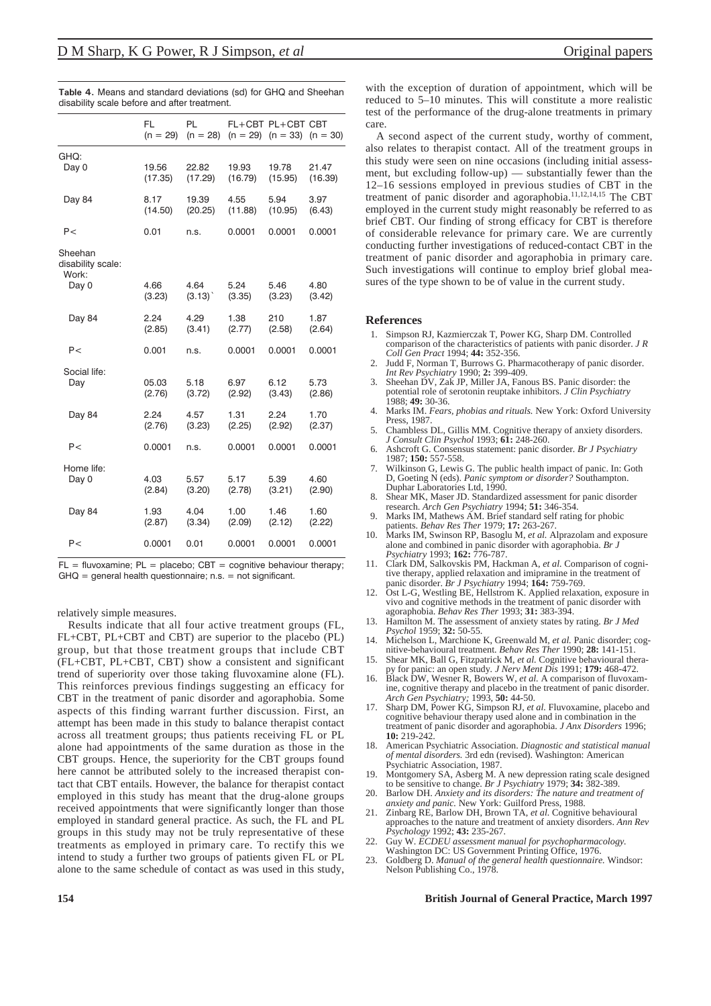|                                       | FL<br>$(n = 29)$ | PL<br>$(n = 28)$ | $(n = 29)$ | FL+CBT PL+CBT CBT<br>$(n = 33)$ | $(n = 30)$ |
|---------------------------------------|------------------|------------------|------------|---------------------------------|------------|
| GHQ:                                  | 19.56            | 22.82            | 19.93      | 19.78                           | 21.47      |
| Day 0                                 | (17.35)          | (17.29)          | (16.79)    | (15.95)                         | (16.39)    |
| Day 84                                | 8.17             | 19.39            | 4.55       | 5.94                            | 3.97       |
|                                       | (14.50)          | (20.25)          | (11.88)    | (10.95)                         | (6.43)     |
| P                                     | 0.01             | n.s.             | 0.0001     | 0.0001                          | 0.0001     |
| Sheehan<br>disability scale:<br>Work: |                  |                  |            |                                 |            |
| Day 0                                 | 4.66             | 4.64             | 5.24       | 5.46                            | 4.80       |
|                                       | (3.23)           | (3.13)           | (3.35)     | (3.23)                          | (3.42)     |
| Day 84                                | 2.24             | 4.29             | 1.38       | 210                             | 1.87       |
|                                       | (2.85)           | (3.41)           | (2.77)     | (2.58)                          | (2.64)     |
| P                                     | 0.001            | n.s.             | 0.0001     | 0.0001                          | 0.0001     |
| Social life:                          | 05.03            | 5.18             | 6.97       | 6.12                            | 5.73       |
| Day                                   | (2.76)           | (3.72)           | (2.92)     | (3.43)                          | (2.86)     |
| Day 84                                | 2.24             | 4.57             | 1.31       | 2.24                            | 1.70       |
|                                       | (2.76)           | (3.23)           | (2.25)     | (2.92)                          | (2.37)     |
| P<                                    | 0.0001           | n.s.             | 0.0001     | 0.0001                          | 0.0001     |
| Home life:                            | 4.03             | 5.57             | 5.17       | 5.39                            | 4.60       |
| Day 0                                 | (2.84)           | (3.20)           | (2.78)     | (3.21)                          | (2.90)     |
| Day 84                                | 1.93             | 4.04             | 1.00       | 1.46                            | 1.60       |
|                                       | (2.87)           | (3.34)           | (2.09)     | (2.12)                          | (2.22)     |
| P                                     | 0.0001           | 0.01             | 0.0001     | 0.0001                          | 0.0001     |
|                                       |                  |                  |            |                                 |            |

**Table 4.** Means and standard deviations (sd) for GHQ and Sheehan disability scale before and after treatment.

 $FL =$  fluvoxamine;  $PL =$  placebo;  $CBT =$  cognitive behaviour therapy;  $GHQ = general health questionnaire; n.s. = not significant.$ 

relatively simple measures.

Results indicate that all four active treatment groups (FL, FL+CBT, PL+CBT and CBT) are superior to the placebo (PL) group, but that those treatment groups that include CBT (FL+CBT, PL+CBT, CBT) show a consistent and significant trend of superiority over those taking fluvoxamine alone (FL). This reinforces previous findings suggesting an efficacy for CBT in the treatment of panic disorder and agoraphobia. Some aspects of this finding warrant further discussion. First, an attempt has been made in this study to balance therapist contact across all treatment groups; thus patients receiving FL or PL alone had appointments of the same duration as those in the CBT groups. Hence, the superiority for the CBT groups found here cannot be attributed solely to the increased therapist contact that CBT entails. However, the balance for therapist contact employed in this study has meant that the drug-alone groups received appointments that were significantly longer than those employed in standard general practice. As such, the FL and PL groups in this study may not be truly representative of these treatments as employed in primary care. To rectify this we intend to study a further two groups of patients given FL or PL alone to the same schedule of contact as was used in this study,

with the exception of duration of appointment, which will be reduced to 5–10 minutes. This will constitute a more realistic test of the performance of the drug-alone treatments in primary care.

A second aspect of the current study, worthy of comment, also relates to therapist contact. All of the treatment groups in this study were seen on nine occasions (including initial assessment, but excluding follow-up) — substantially fewer than the 12–16 sessions employed in previous studies of CBT in the treatment of panic disorder and agoraphobia.11,12,14,15 The CBT employed in the current study might reasonably be referred to as brief CBT. Our finding of strong efficacy for CBT is therefore of considerable relevance for primary care. We are currently conducting further investigations of reduced-contact CBT in the treatment of panic disorder and agoraphobia in primary care. Such investigations will continue to employ brief global measures of the type shown to be of value in the current study.

#### **References**

- 1. Simpson RJ, Kazmierczak T, Power KG, Sharp DM. Controlled comparison of the characteristics of patients with panic disorder. *J R Coll Gen Pract* 1994; **44:** 352-356.
- 2. Judd F, Norman T, Burrows G. Pharmacotherapy of panic disorder. *Int Rev Psychiatry* 1990; **2:** 399-409.
- 3. Sheehan DV, Zak JP, Miller JA, Fanous BS. Panic disorder: the potential role of serotonin reuptake inhibitors. *J Clin Psychiatry* 1988; **49:** 30-36.
- 4. Marks IM. *Fears, phobias and rituals.* New York: Oxford University Press, 1987.
- 5. Chambless DL, Gillis MM. Cognitive therapy of anxiety disorders. *J Consult Clin Psychol* 1993; **61:** 248-260.
- 6. Ashcroft G. Consensus statement: panic disorder*. Br J Psychiatry* 1987; **150:** 557-558.
- 7. Wilkinson G, Lewis G. The public health impact of panic. In: Goth D, Goeting N (eds). *Panic symptom or disorder?* Southampton. Duphar Laboratories Ltd, 1990.
- 8. Shear MK, Maser JD. Standardized assessment for panic disorder research. *Arch Gen Psychiatry* 1994; **51:** 346-354.
- Marks IM, Mathews AM. Brief standard self rating for phobic patients. *Behav Res Ther* 1979; **17:** 263-267.
- 10. Marks IM, Swinson RP, Basoglu M, *et al.* Alprazolam and exposure alone and combined in panic disorder with agoraphobia. *Br J Psychiatry* 1993; **162:** 776-787.
- 11. Clark DM, Salkovskis PM, Hackman A, *et al.* Comparison of cognitive therapy, applied relaxation and imipramine in the treatment of panic disorder. *Br J Psychiatry* 1994; **164:** 759-769.
- 12. Ost L-G, Westling BE, Hellstrom K. Applied relaxation, exposure in vivo and cognitive methods in the treatment of panic disorder with agoraphobia. *Behav Res Ther* 1993; **31:** 383-394.
- 13. Hamilton M. The assessment of anxiety states by rating. *Br J Med Psychol* 1959; **32:** 50-55.
- 14. Michelson L, Marchione K, Greenwald M, *et al.* Panic disorder; cognitive-behavioural treatment. *Behav Res Ther* 1990; **28:** 141-151.
- 15. Shear MK, Ball G, Fitzpatrick M, *et al.* Cognitive behavioural therapy for panic: an open study*. J Nerv Ment Dis* 1991; **179:** 468-472. 16. Black DW, Wesner R, Bowers W, *et al.* A comparison of fluvoxam-
- ine, cognitive therapy and placebo in the treatment of panic disorder. *Arch Gen Psychiatry;* 1993, **50:** 44-50.
- 17. Sharp DM, Power KG, Simpson RJ, *et al.* Fluvoxamine, placebo and cognitive behaviour therapy used alone and in combination in the treatment of panic disorder and agoraphobia. *J Anx Disorders* 1996; **10:** 219-242.
- 18. American Psychiatric Association. *Diagnostic and statistical manual of mental disorders.* 3rd edn (revised). Washington: American Psychiatric Association, 1987.
- Montgomery SA, Asberg M. A new depression rating scale designed to be sensitive to change. *Br J Psychiatry* 1979; **34:** 382-389.
- 20. Barlow DH. *Anxiety and its disorders: The nature and treatment of anxiety and panic.* New York: Guilford Press, 1988.
- 21. Zinbarg RE, Barlow DH, Brown TA, *et al.* Cognitive behavioural approaches to the nature and treatment of anxiety disorders. *Ann Rev Psychology* 1992; **43:** 235-267.
- 22. Guy W. *ECDEU assessment manual for psychopharmacology.* Washington DC: US Government Printing Office, 1976.
- 23. Goldberg D. *Manual of the general health questionnaire.* Windsor: Nelson Publishing Co., 1978.

## **154 British Journal of General Practice, March 1997**